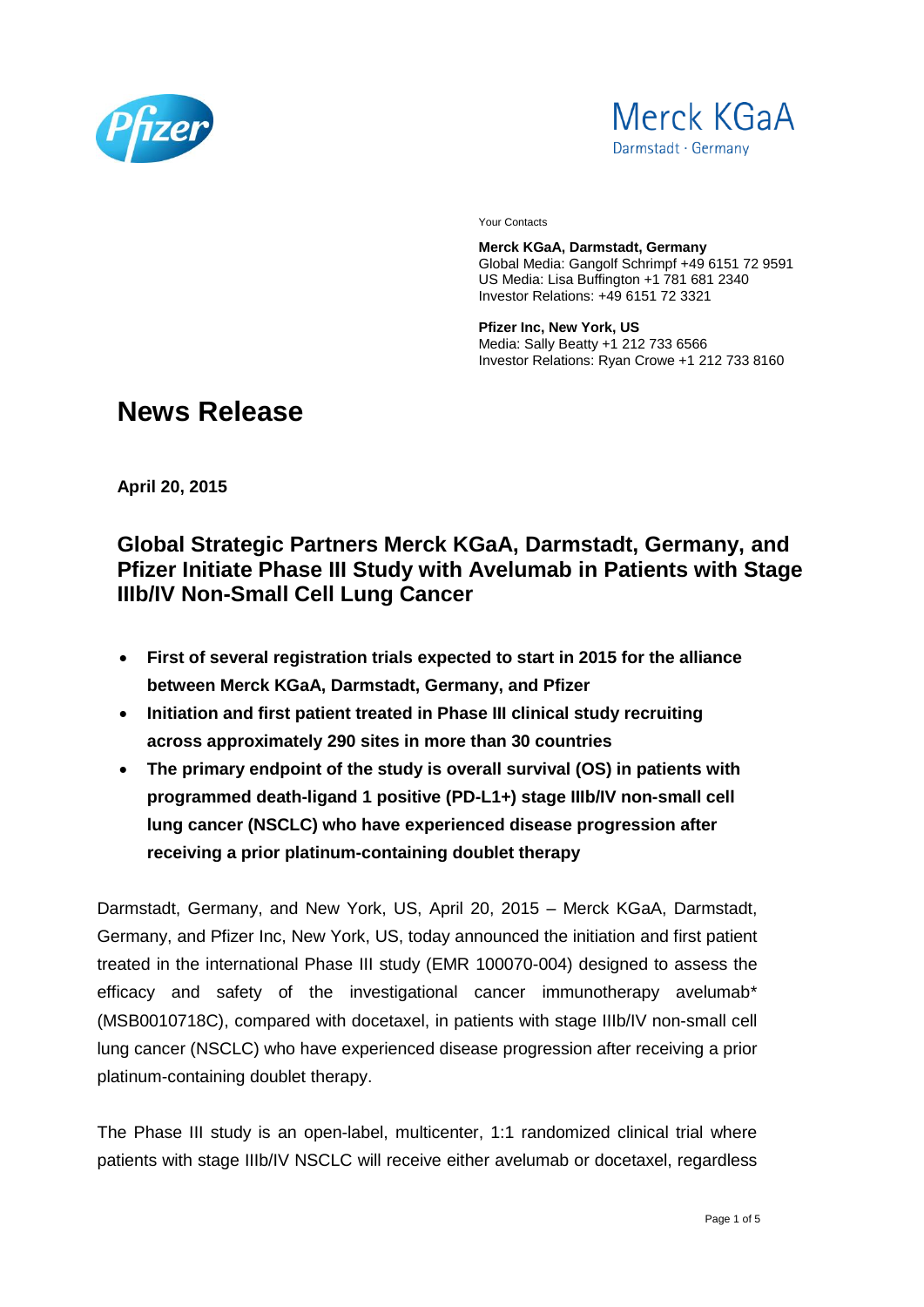



Your Contacts

**Merck KGaA, Darmstadt, Germany** Global Media: Gangolf Schrimpf +49 6151 72 9591 US Media: Lisa Buffington +1 781 681 2340 Investor Relations: +49 6151 72 3321

**Pfizer Inc, New York, US** Media: Sally Beatty +1 212 733 6566 Investor Relations: Ryan Crowe +1 212 733 8160

# **News Release**

**April 20, 2015**

## **Global Strategic Partners Merck KGaA, Darmstadt, Germany, and Pfizer Initiate Phase III Study with Avelumab in Patients with Stage IIIb/IV Non-Small Cell Lung Cancer**

- **First of several registration trials expected to start in 2015 for the alliance between Merck KGaA, Darmstadt, Germany, and Pfizer**
- **Initiation and first patient treated in Phase III clinical study recruiting across approximately 290 sites in more than 30 countries**
- **The primary endpoint of the study is overall survival (OS) in patients with programmed death-ligand 1 positive (PD-L1+) stage IIIb/IV non-small cell lung cancer (NSCLC) who have experienced disease progression after receiving a prior platinum-containing doublet therapy**

Darmstadt, Germany, and New York, US, April 20, 2015 – Merck KGaA, Darmstadt, Germany, and Pfizer Inc, New York, US, today announced the initiation and first patient treated in the international Phase III study (EMR 100070-004) designed to assess the efficacy and safety of the investigational cancer immunotherapy avelumab\* (MSB0010718C), compared with docetaxel, in patients with stage IIIb/IV non-small cell lung cancer (NSCLC) who have experienced disease progression after receiving a prior platinum-containing doublet therapy.

The Phase III study is an open-label, multicenter, 1:1 randomized clinical trial where patients with stage IIIb/IV NSCLC will receive either avelumab or docetaxel, regardless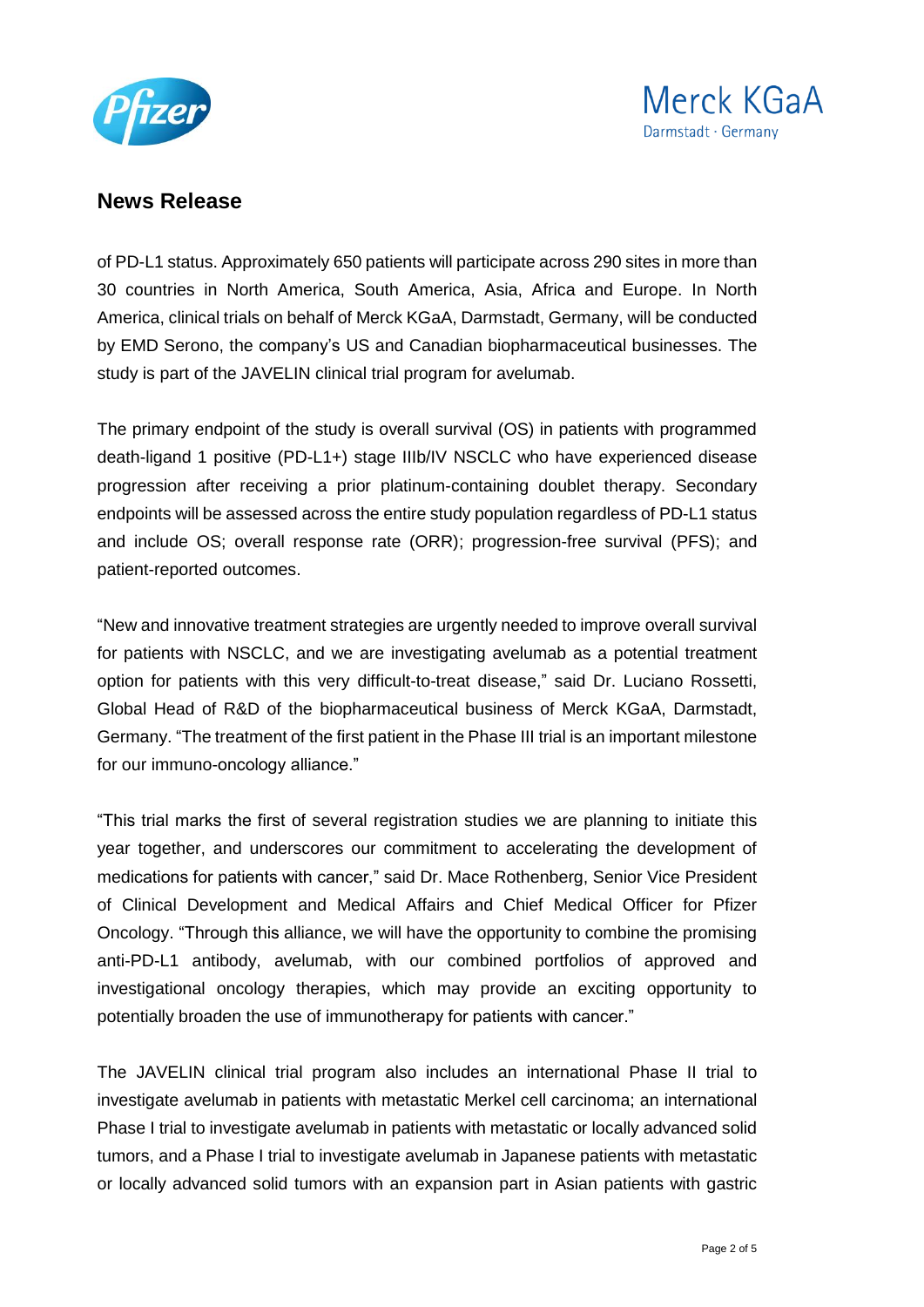



of PD-L1 status. Approximately 650 patients will participate across 290 sites in more than 30 countries in North America, South America, Asia, Africa and Europe. In North America, clinical trials on behalf of Merck KGaA, Darmstadt, Germany, will be conducted by EMD Serono, the company's US and Canadian biopharmaceutical businesses. The study is part of the JAVELIN clinical trial program for avelumab.

The primary endpoint of the study is overall survival (OS) in patients with programmed death-ligand 1 positive (PD-L1+) stage IIIb/IV NSCLC who have experienced disease progression after receiving a prior platinum-containing doublet therapy. Secondary endpoints will be assessed across the entire study population regardless of PD-L1 status and include OS; overall response rate (ORR); progression-free survival (PFS); and patient-reported outcomes.

"New and innovative treatment strategies are urgently needed to improve overall survival for patients with NSCLC, and we are investigating avelumab as a potential treatment option for patients with this very difficult-to-treat disease," said Dr. Luciano Rossetti, Global Head of R&D of the biopharmaceutical business of Merck KGaA, Darmstadt, Germany. "The treatment of the first patient in the Phase III trial is an important milestone for our immuno-oncology alliance."

"This trial marks the first of several registration studies we are planning to initiate this year together, and underscores our commitment to accelerating the development of medications for patients with cancer," said Dr. Mace Rothenberg, Senior Vice President of Clinical Development and Medical Affairs and Chief Medical Officer for Pfizer Oncology. "Through this alliance, we will have the opportunity to combine the promising anti-PD-L1 antibody, avelumab, with our combined portfolios of approved and investigational oncology therapies, which may provide an exciting opportunity to potentially broaden the use of immunotherapy for patients with cancer."

The JAVELIN clinical trial program also includes an international Phase II trial to investigate avelumab in patients with metastatic Merkel cell carcinoma; an international Phase I trial to investigate avelumab in patients with metastatic or locally advanced solid tumors, and a Phase I trial to investigate avelumab in Japanese patients with metastatic or locally advanced solid tumors with an expansion part in Asian patients with gastric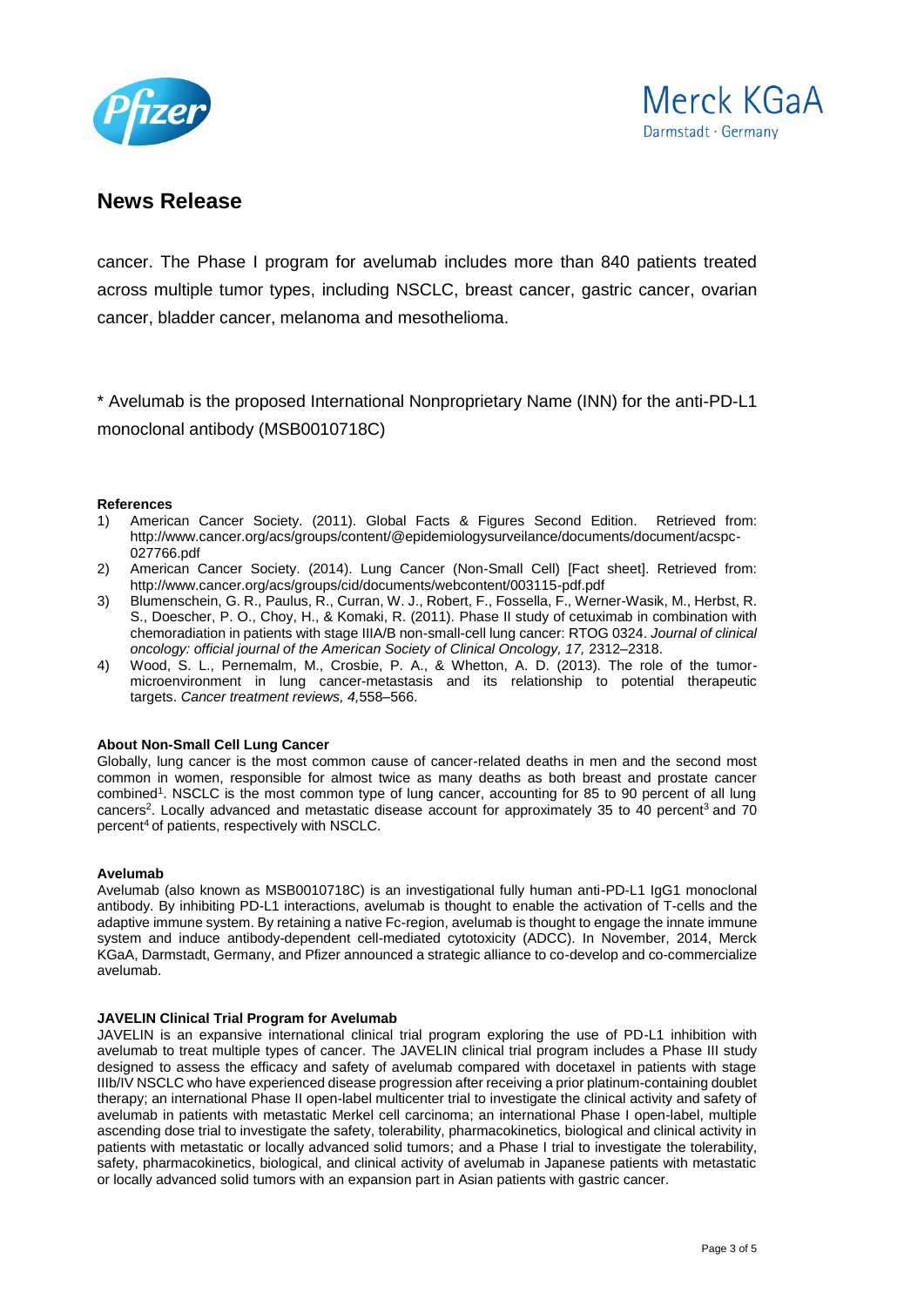



cancer. The Phase I program for avelumab includes more than 840 patients treated across multiple tumor types, including NSCLC, breast cancer, gastric cancer, ovarian cancer, bladder cancer, melanoma and mesothelioma.

\* Avelumab is the proposed International Nonproprietary Name (INN) for the anti-PD-L1 monoclonal antibody (MSB0010718C)

#### **References**

- 1) American Cancer Society. (2011). Global Facts & Figures Second Edition. Retrieved from: [http://www.cancer.org/acs/groups/content/@epidemiologysurveilance/documents/document/acspc-](http://www.cancer.org/acs/groups/content/@epidemiologysurveilance/documents/document/acspc-027766.pdf)[027766.pdf](http://www.cancer.org/acs/groups/content/@epidemiologysurveilance/documents/document/acspc-027766.pdf)
- 2) American Cancer Society. (2014). Lung Cancer (Non-Small Cell) [Fact sheet]. Retrieved from: <http://www.cancer.org/acs/groups/cid/documents/webcontent/003115-pdf.pdf>
- 3) Blumenschein, G. R., Paulus, R., Curran, W. J., Robert, F., Fossella, F., Werner-Wasik, M., Herbst, R. S., Doescher, P. O., Choy, H., & Komaki, R. (2011). Phase II study of cetuximab in combination with chemoradiation in patients with stage IIIA/B non-small-cell lung cancer: RTOG 0324. *Journal of clinical*  oncology: official journal of the American Society of Clinical Oncology, 17, 2312–2318.
- 4) Wood, S. L., Pernemalm, M., Crosbie, P. A., & Whetton, A. D. (2013). The role of the tumormicroenvironment in lung cancer-metastasis and its relationship to potential therapeutic targets. *Cancer treatment reviews, 4,*558–566.

#### **About Non-Small Cell Lung Cancer**

Globally, lung cancer is the most common cause of cancer-related deaths in men and the second most common in women, responsible for almost twice as many deaths as both breast and prostate cancer combined<sup>1</sup> . NSCLC is the most common type of lung cancer, accounting for 85 to 90 percent of all lung cancers<sup>2</sup>. Locally advanced and metastatic disease account for approximately 35 to 40 percent<sup>3</sup> and 70 percent<sup>4</sup> of patients, respectively with NSCLC.

#### **Avelumab**

Avelumab (also known as MSB0010718C) is an investigational fully human anti-PD-L1 IgG1 monoclonal antibody. By inhibiting PD-L1 interactions, avelumab is thought to enable the activation of T-cells and the adaptive immune system. By retaining a native Fc-region, avelumab is thought to engage the innate immune system and induce antibody-dependent cell-mediated cytotoxicity (ADCC). In November, 2014, Merck KGaA, Darmstadt, Germany, and Pfizer announced a strategic alliance to co-develop and co-commercialize avelumab.

#### **JAVELIN Clinical Trial Program for Avelumab**

JAVELIN is an expansive international clinical trial program exploring the use of PD-L1 inhibition with avelumab to treat multiple types of cancer. The JAVELIN clinical trial program includes a Phase III study designed to assess the efficacy and safety of avelumab compared with docetaxel in patients with stage IIIb/IV NSCLC who have experienced disease progression after receiving a prior platinum-containing doublet therapy; an international Phase II open-label multicenter trial to investigate the clinical activity and safety of avelumab in patients with metastatic Merkel cell carcinoma; an international Phase I open-label, multiple ascending dose trial to investigate the safety, tolerability, pharmacokinetics, biological and clinical activity in patients with metastatic or locally advanced solid tumors; and a Phase I trial to investigate the tolerability, safety, pharmacokinetics, biological, and clinical activity of avelumab in Japanese patients with metastatic or locally advanced solid tumors with an expansion part in Asian patients with gastric cancer.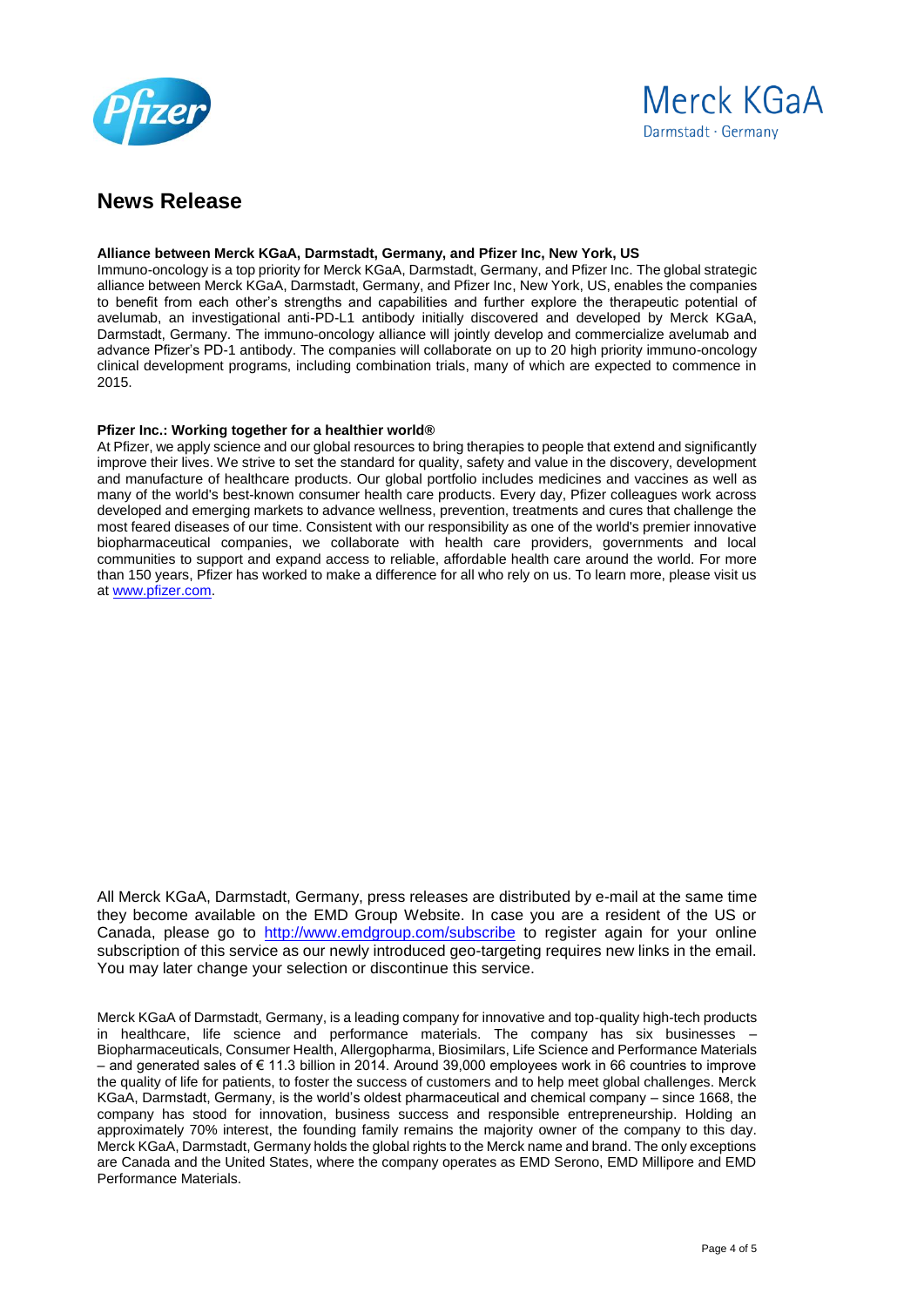



#### **Alliance between Merck KGaA, Darmstadt, Germany, and Pfizer Inc, New York, US**

Immuno-oncology is a top priority for Merck KGaA, Darmstadt, Germany, and Pfizer Inc. The global strategic alliance between Merck KGaA, Darmstadt, Germany, and Pfizer Inc, New York, US, enables the companies to benefit from each other's strengths and capabilities and further explore the therapeutic potential of avelumab, an investigational anti-PD-L1 antibody initially discovered and developed by Merck KGaA, Darmstadt, Germany. The immuno-oncology alliance will jointly develop and commercialize avelumab and advance Pfizer's PD-1 antibody. The companies will collaborate on up to 20 high priority immuno-oncology clinical development programs, including combination trials, many of which are expected to commence in 2015.

#### **Pfizer Inc.: Working together for a healthier world®**

At Pfizer, we apply science and our global resources to bring therapies to people that extend and significantly improve their lives. We strive to set the standard for quality, safety and value in the discovery, development and manufacture of healthcare products. Our global portfolio includes medicines and vaccines as well as many of the world's best-known consumer health care products. Every day, Pfizer colleagues work across developed and emerging markets to advance wellness, prevention, treatments and cures that challenge the most feared diseases of our time. Consistent with our responsibility as one of the world's premier innovative biopharmaceutical companies, we collaborate with health care providers, governments and local communities to support and expand access to reliable, affordable health care around the world. For more than 150 years, Pfizer has worked to make a difference for all who rely on us. To learn more, please visit us a[t www.pfizer.com.](http://www.pfizer.com/)

All Merck KGaA, Darmstadt, Germany, press releases are distributed by e-mail at the same time they become available on the EMD Group Website. In case you are a resident of the US or Canada, please go to <http://www.emdgroup.com/subscribe> to register again for your online subscription of this service as our newly introduced geo-targeting requires new links in the email. You may later change your selection or discontinue this service.

Merck KGaA of Darmstadt, Germany, is a leading company for innovative and top-quality high-tech products in healthcare, life science and performance materials. The company has six businesses – Biopharmaceuticals, Consumer Health, Allergopharma, Biosimilars, Life Science and Performance Materials – and generated sales of € 11.3 billion in 2014. Around 39,000 employees work in 66 countries to improve the quality of life for patients, to foster the success of customers and to help meet global challenges. Merck KGaA, Darmstadt, Germany, is the world's oldest pharmaceutical and chemical company – since 1668, the company has stood for innovation, business success and responsible entrepreneurship. Holding an approximately 70% interest, the founding family remains the majority owner of the company to this day. Merck KGaA, Darmstadt, Germany holds the global rights to the Merck name and brand. The only exceptions are Canada and the United States, where the company operates as EMD Serono, EMD Millipore and EMD Performance Materials.